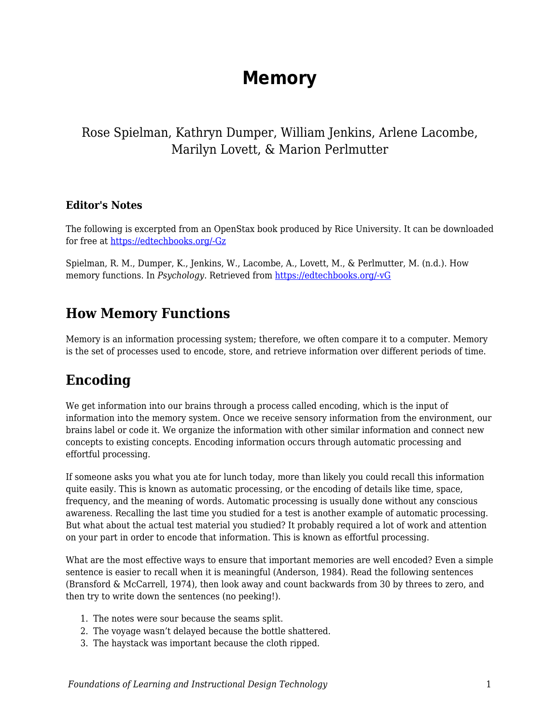# **Memory**

### Rose Spielman, Kathryn Dumper, William Jenkins, Arlene Lacombe, Marilyn Lovett, & Marion Perlmutter

#### **Editor's Notes**

The following is excerpted from an OpenStax book produced by Rice University. It can be downloaded for free at [https://edtechbooks.org/-Gz](http://cnx.org/content/col11629/latest/)

Spielman, R. M., Dumper, K., Jenkins, W., Lacombe, A., Lovett, M., & Perlmutter, M. (n.d.). How memory functions. In *Psychology*. Retrieved from [https://edtechbooks.org/-vG](http://cnx.org/contents/Sr8Ev5Og@5.75:-RwqQWzt@7/How-Memory-Functions)

### **How Memory Functions**

Memory is an information processing system; therefore, we often compare it to a computer. Memory is the set of processes used to encode, store, and retrieve information over different periods of time.

# **Encoding**

We get information into our brains through a process called encoding, which is the input of information into the memory system. Once we receive sensory information from the environment, our brains label or code it. We organize the information with other similar information and connect new concepts to existing concepts. Encoding information occurs through automatic processing and effortful processing.

If someone asks you what you ate for lunch today, more than likely you could recall this information quite easily. This is known as automatic processing, or the encoding of details like time, space, frequency, and the meaning of words. Automatic processing is usually done without any conscious awareness. Recalling the last time you studied for a test is another example of automatic processing. But what about the actual test material you studied? It probably required a lot of work and attention on your part in order to encode that information. This is known as effortful processing.

What are the most effective ways to ensure that important memories are well encoded? Even a simple sentence is easier to recall when it is meaningful (Anderson, 1984). Read the following sentences (Bransford & McCarrell, 1974), then look away and count backwards from 30 by threes to zero, and then try to write down the sentences (no peeking!).

- 1. The notes were sour because the seams split.
- 2. The voyage wasn't delayed because the bottle shattered.
- 3. The haystack was important because the cloth ripped.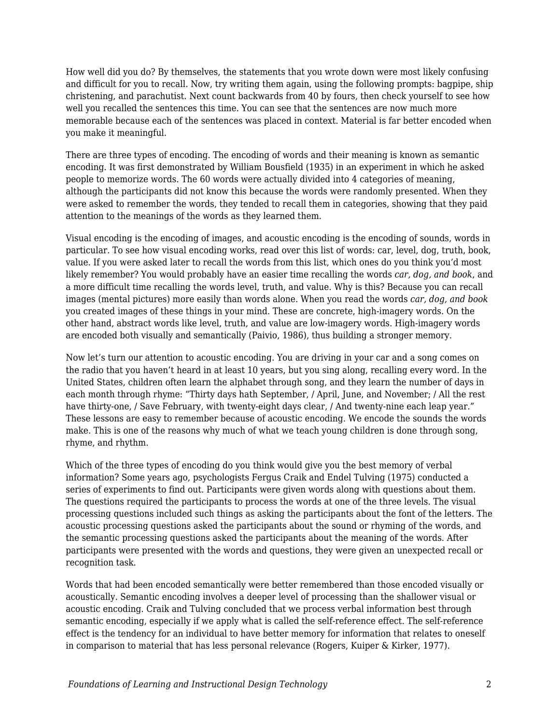How well did you do? By themselves, the statements that you wrote down were most likely confusing and difficult for you to recall. Now, try writing them again, using the following prompts: bagpipe, ship christening, and parachutist. Next count backwards from 40 by fours, then check yourself to see how well you recalled the sentences this time. You can see that the sentences are now much more memorable because each of the sentences was placed in context. Material is far better encoded when you make it meaningful.

There are three types of encoding. The encoding of words and their meaning is known as semantic encoding. It was first demonstrated by William Bousfield (1935) in an experiment in which he asked people to memorize words. The 60 words were actually divided into 4 categories of meaning, although the participants did not know this because the words were randomly presented. When they were asked to remember the words, they tended to recall them in categories, showing that they paid attention to the meanings of the words as they learned them.

Visual encoding is the encoding of images, and acoustic encoding is the encoding of sounds, words in particular. To see how visual encoding works, read over this list of words: car, level, dog, truth, book, value. If you were asked later to recall the words from this list, which ones do you think you'd most likely remember? You would probably have an easier time recalling the words *car, dog, and book*, and a more difficult time recalling the words level, truth, and value. Why is this? Because you can recall images (mental pictures) more easily than words alone. When you read the words *car, dog, and book* you created images of these things in your mind. These are concrete, high-imagery words. On the other hand, abstract words like level, truth, and value are low-imagery words. High-imagery words are encoded both visually and semantically (Paivio, 1986), thus building a stronger memory.

Now let's turn our attention to acoustic encoding. You are driving in your car and a song comes on the radio that you haven't heard in at least 10 years, but you sing along, recalling every word. In the United States, children often learn the alphabet through song, and they learn the number of days in each month through rhyme: "Thirty days hath September, / April, June, and November; / All the rest have thirty-one, / Save February, with twenty-eight days clear, / And twenty-nine each leap year." These lessons are easy to remember because of acoustic encoding. We encode the sounds the words make. This is one of the reasons why much of what we teach young children is done through song, rhyme, and rhythm.

Which of the three types of encoding do you think would give you the best memory of verbal information? Some years ago, psychologists Fergus Craik and Endel Tulving (1975) conducted a series of experiments to find out. Participants were given words along with questions about them. The questions required the participants to process the words at one of the three levels. The visual processing questions included such things as asking the participants about the font of the letters. The acoustic processing questions asked the participants about the sound or rhyming of the words, and the semantic processing questions asked the participants about the meaning of the words. After participants were presented with the words and questions, they were given an unexpected recall or recognition task.

Words that had been encoded semantically were better remembered than those encoded visually or acoustically. Semantic encoding involves a deeper level of processing than the shallower visual or acoustic encoding. Craik and Tulving concluded that we process verbal information best through semantic encoding, especially if we apply what is called the self-reference effect. The self-reference effect is the tendency for an individual to have better memory for information that relates to oneself in comparison to material that has less personal relevance (Rogers, Kuiper & Kirker, 1977).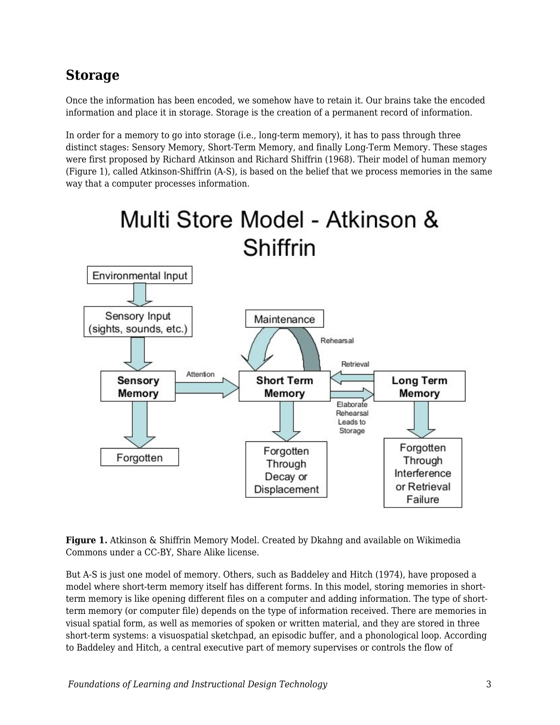# **Storage**

Once the information has been encoded, we somehow have to retain it. Our brains take the encoded information and place it in storage. Storage is the creation of a permanent record of information.

In order for a memory to go into storage (i.e., long-term memory), it has to pass through three distinct stages: Sensory Memory, Short-Term Memory, and finally Long-Term Memory. These stages were first proposed by Richard Atkinson and Richard Shiffrin (1968). Their model of human memory (Figure 1), called Atkinson-Shiffrin (A-S), is based on the belief that we process memories in the same way that a computer processes information.



**Figure 1.** Atkinson & Shiffrin Memory Model. Created by Dkahng and available on Wikimedia Commons under a CC-BY, Share Alike license.

But A-S is just one model of memory. Others, such as Baddeley and Hitch (1974), have proposed a model where short-term memory itself has different forms. In this model, storing memories in shortterm memory is like opening different files on a computer and adding information. The type of shortterm memory (or computer file) depends on the type of information received. There are memories in visual spatial form, as well as memories of spoken or written material, and they are stored in three short-term systems: a visuospatial sketchpad, an episodic buffer, and a phonological loop. According to Baddeley and Hitch, a central executive part of memory supervises or controls the flow of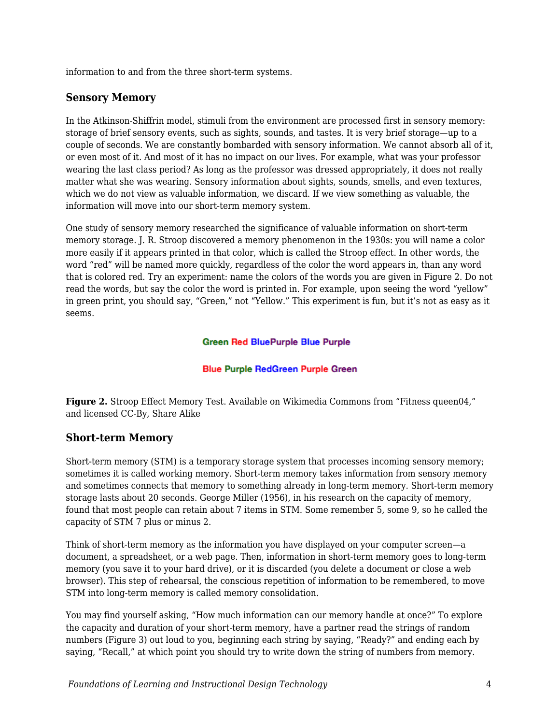information to and from the three short-term systems.

#### **Sensory Memory**

In the Atkinson-Shiffrin model, stimuli from the environment are processed first in sensory memory: storage of brief sensory events, such as sights, sounds, and tastes. It is very brief storage—up to a couple of seconds. We are constantly bombarded with sensory information. We cannot absorb all of it, or even most of it. And most of it has no impact on our lives. For example, what was your professor wearing the last class period? As long as the professor was dressed appropriately, it does not really matter what she was wearing. Sensory information about sights, sounds, smells, and even textures, which we do not view as valuable information, we discard. If we view something as valuable, the information will move into our short-term memory system.

One study of sensory memory researched the significance of valuable information on short-term memory storage. J. R. Stroop discovered a memory phenomenon in the 1930s: you will name a color more easily if it appears printed in that color, which is called the Stroop effect. In other words, the word "red" will be named more quickly, regardless of the color the word appears in, than any word that is colored red. Try an experiment: name the colors of the words you are given in Figure 2. Do not read the words, but say the color the word is printed in. For example, upon seeing the word "yellow" in green print, you should say, "Green," not "Yellow." This experiment is fun, but it's not as easy as it seems.

#### **Green Red BluePurple Blue Purple**

#### **Blue Purple RedGreen Purple Green**

**Figure 2.** Stroop Effect Memory Test. Available on Wikimedia Commons from "Fitness queen04," and licensed CC-By, Share Alike

#### **Short-term Memory**

Short-term memory (STM) is a temporary storage system that processes incoming sensory memory; sometimes it is called working memory. Short-term memory takes information from sensory memory and sometimes connects that memory to something already in long-term memory. Short-term memory storage lasts about 20 seconds. George Miller (1956), in his research on the capacity of memory, found that most people can retain about 7 items in STM. Some remember 5, some 9, so he called the capacity of STM 7 plus or minus 2.

Think of short-term memory as the information you have displayed on your computer screen—a document, a spreadsheet, or a web page. Then, information in short-term memory goes to long-term memory (you save it to your hard drive), or it is discarded (you delete a document or close a web browser). This step of rehearsal, the conscious repetition of information to be remembered, to move STM into long-term memory is called memory consolidation.

You may find yourself asking, "How much information can our memory handle at once?" To explore the capacity and duration of your short-term memory, have a partner read the strings of random numbers (Figure 3) out loud to you, beginning each string by saying, "Ready?" and ending each by saying, "Recall," at which point you should try to write down the string of numbers from memory.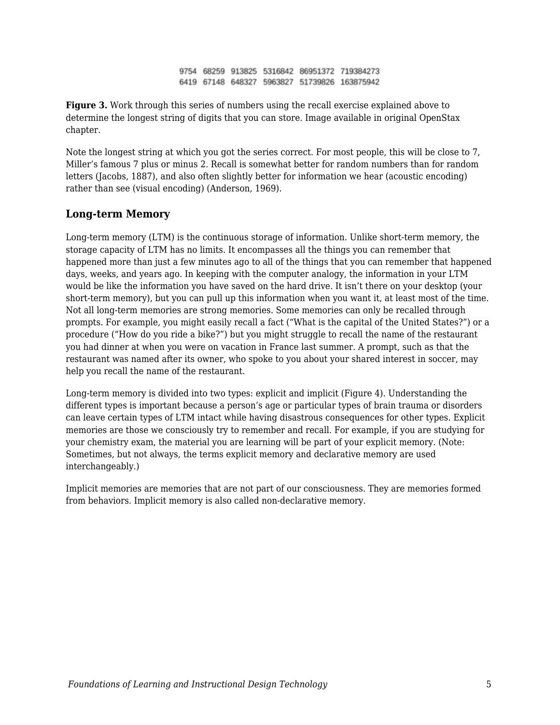9754 68259 913825 5316842 86951372 719384273 6419 67148 648327 5963827 51739826 163875942

Figure 3. Work through this series of numbers using the recall exercise explained above to determine the longest string of digits that you can store. Image available in original OpenStax chapter.

Note the longest string at which you got the series correct. For most people, this will be close to 7, Miller's famous 7 plus or minus 2. Recall is somewhat better for random numbers than for random letters (Jacobs, 1887), and also often slightly better for information we hear (acoustic encoding) rather than see (visual encoding) (Anderson, 1969).

#### **Long-term Memory**

Long-term memory (LTM) is the continuous storage of information. Unlike short-term memory, the storage capacity of LTM has no limits. It encompasses all the things you can remember that happened more than just a few minutes ago to all of the things that you can remember that happened days, weeks, and years ago. In keeping with the computer analogy, the information in your LTM would be like the information you have saved on the hard drive. It isn't there on your desktop (your short-term memory), but you can pull up this information when you want it, at least most of the time. Not all long-term memories are strong memories. Some memories can only be recalled through prompts. For example, you might easily recall a fact ("What is the capital of the United States?") or a procedure ("How do you ride a bike?") but you might struggle to recall the name of the restaurant you had dinner at when you were on vacation in France last summer. A prompt, such as that the restaurant was named after its owner, who spoke to you about your shared interest in soccer, may help you recall the name of the restaurant.

Long-term memory is divided into two types: explicit and implicit (Figure 4). Understanding the different types is important because a person's age or particular types of brain trauma or disorders can leave certain types of LTM intact while having disastrous consequences for other types. Explicit memories are those we consciously try to remember and recall. For example, if you are studying for your chemistry exam, the material you are learning will be part of your explicit memory. (Note: Sometimes, but not always, the terms explicit memory and declarative memory are used interchangeably.)

Implicit memories are memories that are not part of our consciousness. They are memories formed from behaviors. Implicit memory is also called non-declarative memory.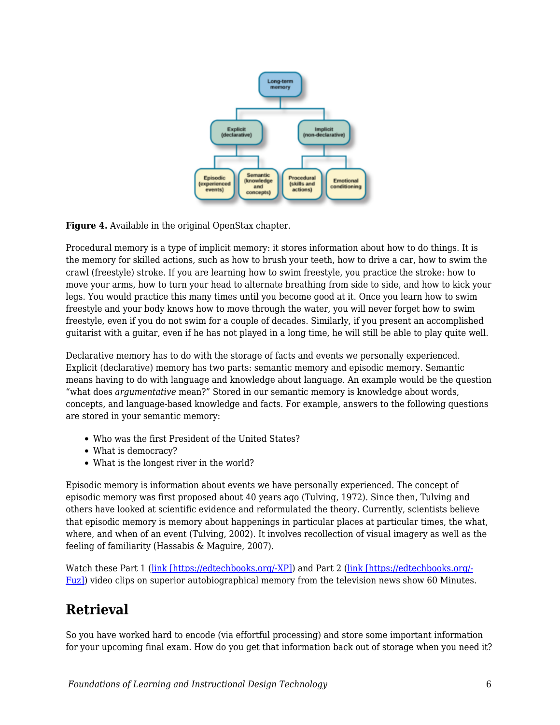

**Figure 4.** Available in the original OpenStax chapter.

Procedural memory is a type of implicit memory: it stores information about how to do things. It is the memory for skilled actions, such as how to brush your teeth, how to drive a car, how to swim the crawl (freestyle) stroke. If you are learning how to swim freestyle, you practice the stroke: how to move your arms, how to turn your head to alternate breathing from side to side, and how to kick your legs. You would practice this many times until you become good at it. Once you learn how to swim freestyle and your body knows how to move through the water, you will never forget how to swim freestyle, even if you do not swim for a couple of decades. Similarly, if you present an accomplished guitarist with a guitar, even if he has not played in a long time, he will still be able to play quite well.

Declarative memory has to do with the storage of facts and events we personally experienced. Explicit (declarative) memory has two parts: semantic memory and episodic memory. Semantic means having to do with language and knowledge about language. An example would be the question "what does *argumentative* mean?" Stored in our semantic memory is knowledge about words, concepts, and language-based knowledge and facts. For example, answers to the following questions are stored in your semantic memory:

- Who was the first President of the United States?
- What is democracy?
- What is the longest river in the world?

Episodic memory is information about events we have personally experienced. The concept of episodic memory was first proposed about 40 years ago (Tulving, 1972). Since then, Tulving and others have looked at scientific evidence and reformulated the theory. Currently, scientists believe that episodic memory is memory about happenings in particular places at particular times, the what, where, and when of an event (Tulving, 2002). It involves recollection of visual imagery as well as the feeling of familiarity (Hassabis & Maguire, 2007).

Watch these Part 1 ([link \[https://edtechbooks.org/-XP\]](https://www.youtube.com/watch?v=2zTkBgHNsWM)) and Part 2 ([link \[https://edtechbooks.org/-](https://www.youtube.com/watch?v=en23bCvp-Fw) [Fuz\]](https://www.youtube.com/watch?v=en23bCvp-Fw)) video clips on superior autobiographical memory from the television news show 60 Minutes.

# **Retrieval**

So you have worked hard to encode (via effortful processing) and store some important information for your upcoming final exam. How do you get that information back out of storage when you need it?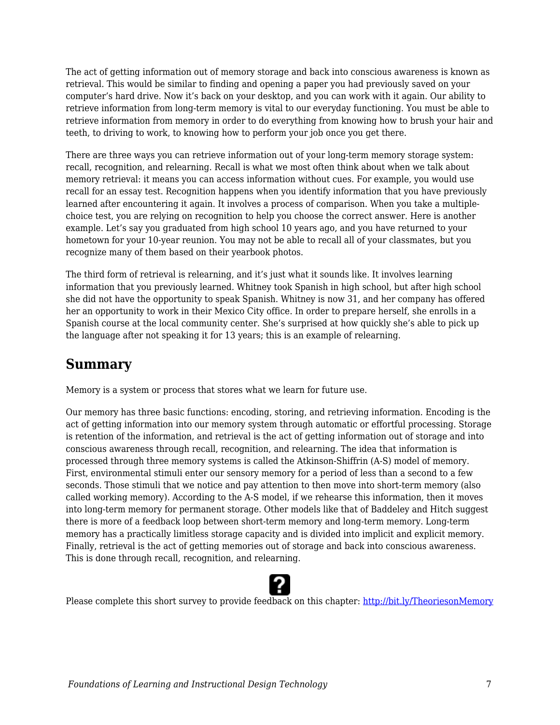The act of getting information out of memory storage and back into conscious awareness is known as retrieval. This would be similar to finding and opening a paper you had previously saved on your computer's hard drive. Now it's back on your desktop, and you can work with it again. Our ability to retrieve information from long-term memory is vital to our everyday functioning. You must be able to retrieve information from memory in order to do everything from knowing how to brush your hair and teeth, to driving to work, to knowing how to perform your job once you get there.

There are three ways you can retrieve information out of your long-term memory storage system: recall, recognition, and relearning. Recall is what we most often think about when we talk about memory retrieval: it means you can access information without cues. For example, you would use recall for an essay test. Recognition happens when you identify information that you have previously learned after encountering it again. It involves a process of comparison. When you take a multiplechoice test, you are relying on recognition to help you choose the correct answer. Here is another example. Let's say you graduated from high school 10 years ago, and you have returned to your hometown for your 10-year reunion. You may not be able to recall all of your classmates, but you recognize many of them based on their yearbook photos.

The third form of retrieval is relearning, and it's just what it sounds like. It involves learning information that you previously learned. Whitney took Spanish in high school, but after high school she did not have the opportunity to speak Spanish. Whitney is now 31, and her company has offered her an opportunity to work in their Mexico City office. In order to prepare herself, she enrolls in a Spanish course at the local community center. She's surprised at how quickly she's able to pick up the language after not speaking it for 13 years; this is an example of relearning.

### **Summary**

Memory is a system or process that stores what we learn for future use.

Our memory has three basic functions: encoding, storing, and retrieving information. Encoding is the act of getting information into our memory system through automatic or effortful processing. Storage is retention of the information, and retrieval is the act of getting information out of storage and into conscious awareness through recall, recognition, and relearning. The idea that information is processed through three memory systems is called the Atkinson-Shiffrin (A-S) model of memory. First, environmental stimuli enter our sensory memory for a period of less than a second to a few seconds. Those stimuli that we notice and pay attention to then move into short-term memory (also called working memory). According to the A-S model, if we rehearse this information, then it moves into long-term memory for permanent storage. Other models like that of Baddeley and Hitch suggest there is more of a feedback loop between short-term memory and long-term memory. Long-term memory has a practically limitless storage capacity and is divided into implicit and explicit memory. Finally, retrieval is the act of getting memories out of storage and back into conscious awareness. This is done through recall, recognition, and relearning.



Please complete this short survey to provide feedback on this chapter: <http://bit.ly/TheoriesonMemory>